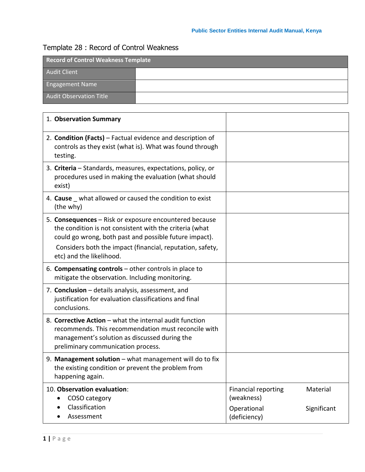## Template 28 : Record of Control Weakness

| <b>Record of Control Weakness Template</b> |  |  |
|--------------------------------------------|--|--|
| <b>Audit Client</b>                        |  |  |
| <b>Engagement Name</b>                     |  |  |
| <b>Audit Observation Title</b>             |  |  |

| 1. Observation Summary                                                                                                                                                                                                                                               |                                          |             |
|----------------------------------------------------------------------------------------------------------------------------------------------------------------------------------------------------------------------------------------------------------------------|------------------------------------------|-------------|
| 2. Condition (Facts) - Factual evidence and description of<br>controls as they exist (what is). What was found through<br>testing.                                                                                                                                   |                                          |             |
| 3. Criteria - Standards, measures, expectations, policy, or<br>procedures used in making the evaluation (what should<br>exist)                                                                                                                                       |                                          |             |
| 4. Cause what allowed or caused the condition to exist<br>(the why)                                                                                                                                                                                                  |                                          |             |
| 5. Consequences - Risk or exposure encountered because<br>the condition is not consistent with the criteria (what<br>could go wrong, both past and possible future impact).<br>Considers both the impact (financial, reputation, safety,<br>etc) and the likelihood. |                                          |             |
| 6. Compensating controls $-$ other controls in place to<br>mitigate the observation. Including monitoring.                                                                                                                                                           |                                          |             |
| 7. Conclusion - details analysis, assessment, and<br>justification for evaluation classifications and final<br>conclusions.                                                                                                                                          |                                          |             |
| 8. Corrective Action - what the internal audit function<br>recommends. This recommendation must reconcile with<br>management's solution as discussed during the<br>preliminary communication process.                                                                |                                          |             |
| 9. Management solution - what management will do to fix<br>the existing condition or prevent the problem from<br>happening again.                                                                                                                                    |                                          |             |
| 10. Observation evaluation:<br>COSO category<br>Classification                                                                                                                                                                                                       | <b>Financial reporting</b><br>(weakness) | Material    |
| Assessment                                                                                                                                                                                                                                                           | Operational<br>(deficiency)              | Significant |